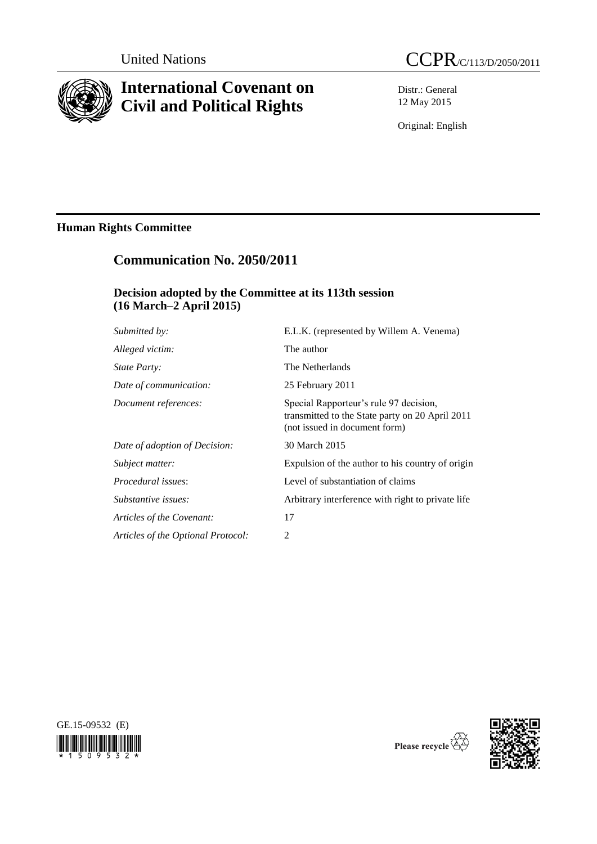

# **International Covenant on Civil and Political Rights**



Distr.: General 12 May 2015

Original: English

# **Human Rights Committee**

# **Communication No. 2050/2011**

# **Decision adopted by the Committee at its 113th session (16 March–2 April 2015)**

| Submitted by:                      | E.L.K. (represented by Willem A. Venema)                                                                                   |
|------------------------------------|----------------------------------------------------------------------------------------------------------------------------|
| Alleged victim:                    | The author                                                                                                                 |
| <i>State Party:</i>                | The Netherlands                                                                                                            |
| Date of communication:             | 25 February 2011                                                                                                           |
| Document references:               | Special Rapporteur's rule 97 decision,<br>transmitted to the State party on 20 April 2011<br>(not issued in document form) |
| Date of adoption of Decision:      | 30 March 2015                                                                                                              |
| Subject matter:                    | Expulsion of the author to his country of origin                                                                           |
| <i>Procedural issues:</i>          | Level of substantiation of claims                                                                                          |
| Substantive issues:                | Arbitrary interference with right to private life                                                                          |
| Articles of the Covenant:          | 17                                                                                                                         |
| Articles of the Optional Protocol: | $\overline{2}$                                                                                                             |





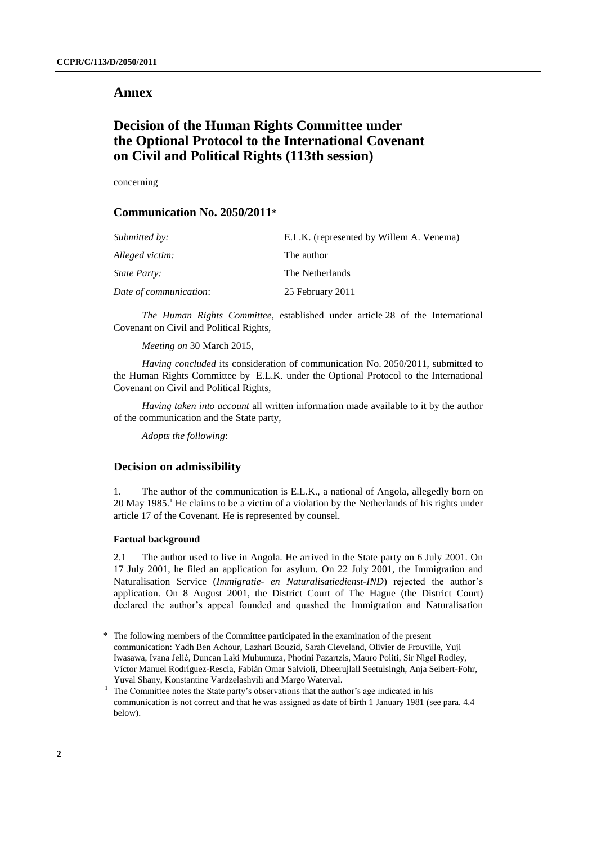## **Annex**

# **Decision of the Human Rights Committee under the Optional Protocol to the International Covenant on Civil and Political Rights (113th session)**

concerning

# **Communication No. 2050/2011**\*

| Submitted by:          | E.L.K. (represented by Willem A. Venema) |
|------------------------|------------------------------------------|
| Alleged victim:        | The author                               |
| <i>State Party:</i>    | The Netherlands                          |
| Date of communication: | 25 February 2011                         |

*The Human Rights Committee*, established under article 28 of the International Covenant on Civil and Political Rights,

*Meeting on* 30 March 2015,

*Having concluded* its consideration of communication No. 2050/2011, submitted to the Human Rights Committee by E.L.K. under the Optional Protocol to the International Covenant on Civil and Political Rights,

*Having taken into account* all written information made available to it by the author of the communication and the State party,

*Adopts the following*:

### **Decision on admissibility**

1. The author of the communication is E.L.K., a national of Angola, allegedly born on 20 May 1985. <sup>1</sup> He claims to be a victim of a violation by the Netherlands of his rights under article 17 of the Covenant. He is represented by counsel.

### **Factual background**

2.1 The author used to live in Angola. He arrived in the State party on 6 July 2001. On 17 July 2001, he filed an application for asylum. On 22 July 2001, the Immigration and Naturalisation Service (*Immigratie- en Naturalisatiedienst-IND*) rejected the author's application. On 8 August 2001, the District Court of The Hague (the District Court) declared the author's appeal founded and quashed the Immigration and Naturalisation

<sup>\*</sup> The following members of the Committee participated in the examination of the present communication: Yadh Ben Achour, Lazhari Bouzid, Sarah Cleveland, Olivier de Frouville, Yuji Iwasawa, Ivana Jelić, Duncan Laki Muhumuza, Photini Pazartzis, Mauro Politi, Sir Nigel Rodley, Víctor Manuel Rodríguez-Rescia, Fabián Omar Salvioli, Dheerujlall Seetulsingh, Anja Seibert-Fohr, Yuval Shany, Konstantine Vardzelashvili and Margo Waterval.

<sup>1</sup> The Committee notes the State party's observations that the author's age indicated in his communication is not correct and that he was assigned as date of birth 1 January 1981 (see para. 4.4 below).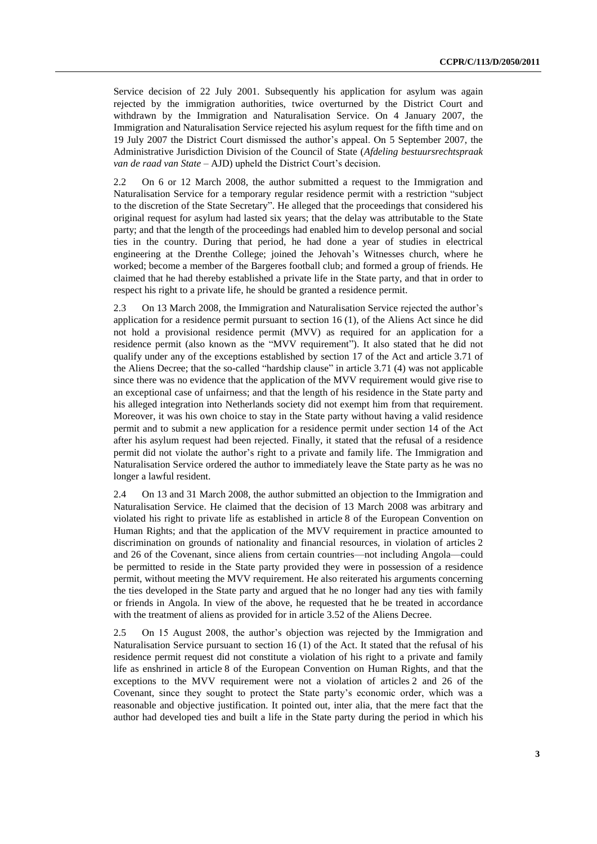Service decision of 22 July 2001. Subsequently his application for asylum was again rejected by the immigration authorities, twice overturned by the District Court and withdrawn by the Immigration and Naturalisation Service. On 4 January 2007, the Immigration and Naturalisation Service rejected his asylum request for the fifth time and on 19 July 2007 the District Court dismissed the author's appeal. On 5 September 2007, the Administrative Jurisdiction Division of the Council of State (*Afdeling bestuursrechtspraak van de raad van State* – AJD) upheld the District Court's decision.

2.2 On 6 or 12 March 2008, the author submitted a request to the Immigration and Naturalisation Service for a temporary regular residence permit with a restriction "subject to the discretion of the State Secretary". He alleged that the proceedings that considered his original request for asylum had lasted six years; that the delay was attributable to the State party; and that the length of the proceedings had enabled him to develop personal and social ties in the country. During that period, he had done a year of studies in electrical engineering at the Drenthe College; joined the Jehovah's Witnesses church, where he worked; become a member of the Bargeres football club; and formed a group of friends. He claimed that he had thereby established a private life in the State party, and that in order to respect his right to a private life, he should be granted a residence permit.

2.3 On 13 March 2008, the Immigration and Naturalisation Service rejected the author's application for a residence permit pursuant to section 16 (1), of the Aliens Act since he did not hold a provisional residence permit (MVV) as required for an application for a residence permit (also known as the "MVV requirement"). It also stated that he did not qualify under any of the exceptions established by section 17 of the Act and article 3.71 of the Aliens Decree; that the so-called "hardship clause" in article 3.71 (4) was not applicable since there was no evidence that the application of the MVV requirement would give rise to an exceptional case of unfairness; and that the length of his residence in the State party and his alleged integration into Netherlands society did not exempt him from that requirement. Moreover, it was his own choice to stay in the State party without having a valid residence permit and to submit a new application for a residence permit under section 14 of the Act after his asylum request had been rejected. Finally, it stated that the refusal of a residence permit did not violate the author's right to a private and family life. The Immigration and Naturalisation Service ordered the author to immediately leave the State party as he was no longer a lawful resident.

2.4 On 13 and 31 March 2008, the author submitted an objection to the Immigration and Naturalisation Service. He claimed that the decision of 13 March 2008 was arbitrary and violated his right to private life as established in article 8 of the European Convention on Human Rights; and that the application of the MVV requirement in practice amounted to discrimination on grounds of nationality and financial resources, in violation of articles 2 and 26 of the Covenant, since aliens from certain countries—not including Angola—could be permitted to reside in the State party provided they were in possession of a residence permit, without meeting the MVV requirement. He also reiterated his arguments concerning the ties developed in the State party and argued that he no longer had any ties with family or friends in Angola. In view of the above, he requested that he be treated in accordance with the treatment of aliens as provided for in article 3.52 of the Aliens Decree.

2.5 On 15 August 2008, the author's objection was rejected by the Immigration and Naturalisation Service pursuant to section 16 (1) of the Act. It stated that the refusal of his residence permit request did not constitute a violation of his right to a private and family life as enshrined in article 8 of the European Convention on Human Rights, and that the exceptions to the MVV requirement were not a violation of articles 2 and 26 of the Covenant, since they sought to protect the State party's economic order, which was a reasonable and objective justification. It pointed out, inter alia, that the mere fact that the author had developed ties and built a life in the State party during the period in which his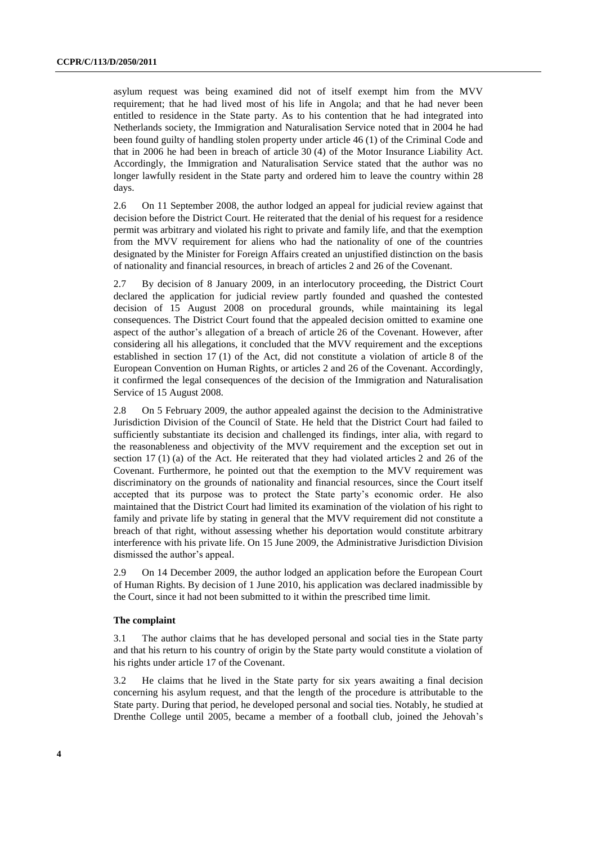asylum request was being examined did not of itself exempt him from the MVV requirement; that he had lived most of his life in Angola; and that he had never been entitled to residence in the State party. As to his contention that he had integrated into Netherlands society, the Immigration and Naturalisation Service noted that in 2004 he had been found guilty of handling stolen property under article 46 (1) of the Criminal Code and that in 2006 he had been in breach of article 30 (4) of the Motor Insurance Liability Act. Accordingly, the Immigration and Naturalisation Service stated that the author was no longer lawfully resident in the State party and ordered him to leave the country within 28 days.

2.6 On 11 September 2008, the author lodged an appeal for judicial review against that decision before the District Court. He reiterated that the denial of his request for a residence permit was arbitrary and violated his right to private and family life, and that the exemption from the MVV requirement for aliens who had the nationality of one of the countries designated by the Minister for Foreign Affairs created an unjustified distinction on the basis of nationality and financial resources, in breach of articles 2 and 26 of the Covenant.

2.7 By decision of 8 January 2009, in an interlocutory proceeding, the District Court declared the application for judicial review partly founded and quashed the contested decision of 15 August 2008 on procedural grounds, while maintaining its legal consequences. The District Court found that the appealed decision omitted to examine one aspect of the author's allegation of a breach of article 26 of the Covenant. However, after considering all his allegations, it concluded that the MVV requirement and the exceptions established in section 17 (1) of the Act, did not constitute a violation of article 8 of the European Convention on Human Rights, or articles 2 and 26 of the Covenant. Accordingly, it confirmed the legal consequences of the decision of the Immigration and Naturalisation Service of 15 August 2008.

2.8 On 5 February 2009, the author appealed against the decision to the Administrative Jurisdiction Division of the Council of State. He held that the District Court had failed to sufficiently substantiate its decision and challenged its findings, inter alia, with regard to the reasonableness and objectivity of the MVV requirement and the exception set out in section 17 (1) (a) of the Act. He reiterated that they had violated articles 2 and 26 of the Covenant. Furthermore, he pointed out that the exemption to the MVV requirement was discriminatory on the grounds of nationality and financial resources, since the Court itself accepted that its purpose was to protect the State party's economic order. He also maintained that the District Court had limited its examination of the violation of his right to family and private life by stating in general that the MVV requirement did not constitute a breach of that right, without assessing whether his deportation would constitute arbitrary interference with his private life. On 15 June 2009, the Administrative Jurisdiction Division dismissed the author's appeal.

2.9 On 14 December 2009, the author lodged an application before the European Court of Human Rights. By decision of 1 June 2010, his application was declared inadmissible by the Court, since it had not been submitted to it within the prescribed time limit.

### **The complaint**

3.1 The author claims that he has developed personal and social ties in the State party and that his return to his country of origin by the State party would constitute a violation of his rights under article 17 of the Covenant.

3.2 He claims that he lived in the State party for six years awaiting a final decision concerning his asylum request, and that the length of the procedure is attributable to the State party. During that period, he developed personal and social ties. Notably, he studied at Drenthe College until 2005, became a member of a football club, joined the Jehovah's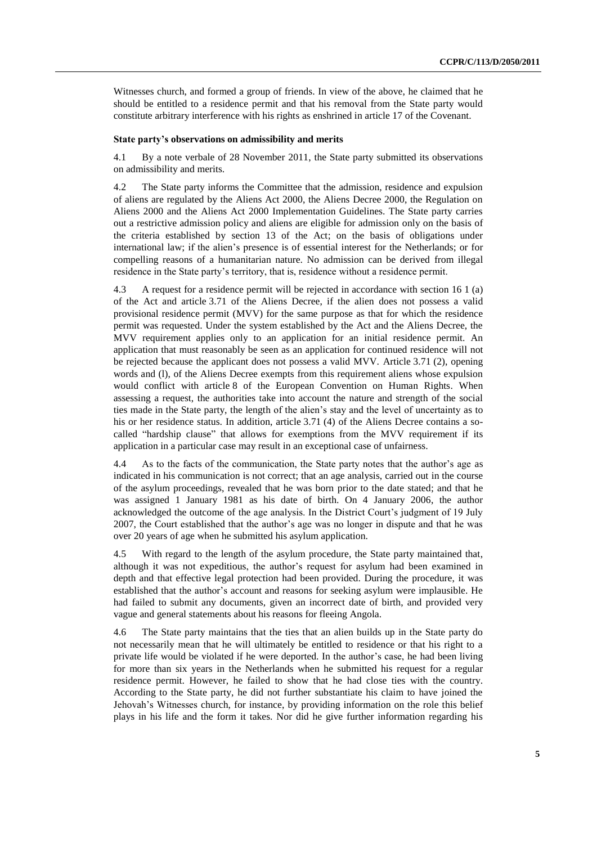Witnesses church, and formed a group of friends. In view of the above, he claimed that he should be entitled to a residence permit and that his removal from the State party would constitute arbitrary interference with his rights as enshrined in article 17 of the Covenant.

### **State party's observations on admissibility and merits**

4.1 By a note verbale of 28 November 2011, the State party submitted its observations on admissibility and merits.

4.2 The State party informs the Committee that the admission, residence and expulsion of aliens are regulated by the Aliens Act 2000, the Aliens Decree 2000, the Regulation on Aliens 2000 and the Aliens Act 2000 Implementation Guidelines. The State party carries out a restrictive admission policy and aliens are eligible for admission only on the basis of the criteria established by section 13 of the Act; on the basis of obligations under international law; if the alien's presence is of essential interest for the Netherlands; or for compelling reasons of a humanitarian nature. No admission can be derived from illegal residence in the State party's territory, that is, residence without a residence permit.

4.3 A request for a residence permit will be rejected in accordance with section 16 1 (a) of the Act and article 3.71 of the Aliens Decree, if the alien does not possess a valid provisional residence permit (MVV) for the same purpose as that for which the residence permit was requested. Under the system established by the Act and the Aliens Decree, the MVV requirement applies only to an application for an initial residence permit. An application that must reasonably be seen as an application for continued residence will not be rejected because the applicant does not possess a valid MVV. Article 3.71 (2), opening words and (l), of the Aliens Decree exempts from this requirement aliens whose expulsion would conflict with article 8 of the European Convention on Human Rights. When assessing a request, the authorities take into account the nature and strength of the social ties made in the State party, the length of the alien's stay and the level of uncertainty as to his or her residence status. In addition, article 3.71 (4) of the Aliens Decree contains a socalled "hardship clause" that allows for exemptions from the MVV requirement if its application in a particular case may result in an exceptional case of unfairness.

4.4 As to the facts of the communication, the State party notes that the author's age as indicated in his communication is not correct; that an age analysis, carried out in the course of the asylum proceedings, revealed that he was born prior to the date stated; and that he was assigned 1 January 1981 as his date of birth. On 4 January 2006, the author acknowledged the outcome of the age analysis. In the District Court's judgment of 19 July 2007, the Court established that the author's age was no longer in dispute and that he was over 20 years of age when he submitted his asylum application.

4.5 With regard to the length of the asylum procedure, the State party maintained that, although it was not expeditious, the author's request for asylum had been examined in depth and that effective legal protection had been provided. During the procedure, it was established that the author's account and reasons for seeking asylum were implausible. He had failed to submit any documents, given an incorrect date of birth, and provided very vague and general statements about his reasons for fleeing Angola.

4.6 The State party maintains that the ties that an alien builds up in the State party do not necessarily mean that he will ultimately be entitled to residence or that his right to a private life would be violated if he were deported. In the author's case, he had been living for more than six years in the Netherlands when he submitted his request for a regular residence permit. However, he failed to show that he had close ties with the country. According to the State party, he did not further substantiate his claim to have joined the Jehovah's Witnesses church, for instance, by providing information on the role this belief plays in his life and the form it takes. Nor did he give further information regarding his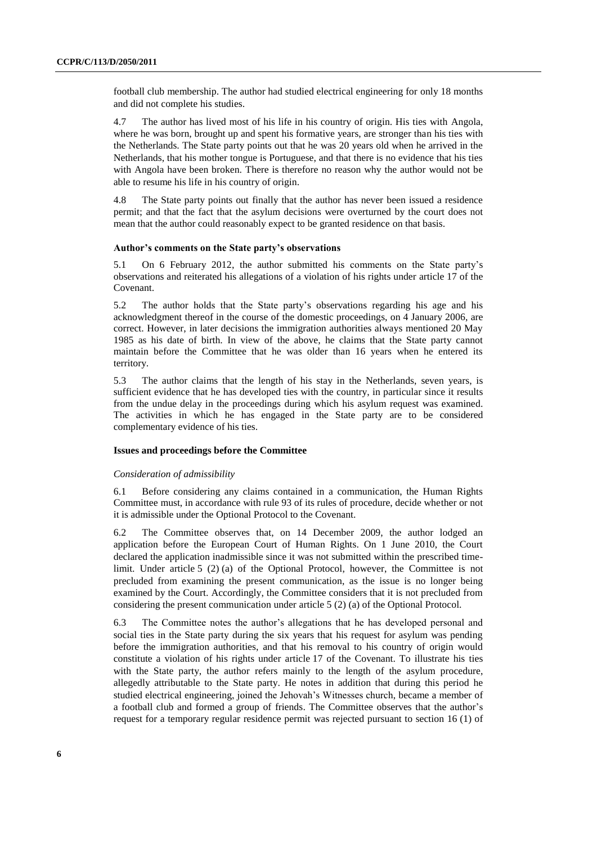football club membership. The author had studied electrical engineering for only 18 months and did not complete his studies.

4.7 The author has lived most of his life in his country of origin. His ties with Angola, where he was born, brought up and spent his formative years, are stronger than his ties with the Netherlands. The State party points out that he was 20 years old when he arrived in the Netherlands, that his mother tongue is Portuguese, and that there is no evidence that his ties with Angola have been broken. There is therefore no reason why the author would not be able to resume his life in his country of origin.

4.8 The State party points out finally that the author has never been issued a residence permit; and that the fact that the asylum decisions were overturned by the court does not mean that the author could reasonably expect to be granted residence on that basis.

### **Author's comments on the State party's observations**

5.1 On 6 February 2012, the author submitted his comments on the State party's observations and reiterated his allegations of a violation of his rights under article 17 of the Covenant.

5.2 The author holds that the State party's observations regarding his age and his acknowledgment thereof in the course of the domestic proceedings, on 4 January 2006, are correct. However, in later decisions the immigration authorities always mentioned 20 May 1985 as his date of birth. In view of the above, he claims that the State party cannot maintain before the Committee that he was older than 16 years when he entered its territory.

5.3 The author claims that the length of his stay in the Netherlands, seven years, is sufficient evidence that he has developed ties with the country, in particular since it results from the undue delay in the proceedings during which his asylum request was examined. The activities in which he has engaged in the State party are to be considered complementary evidence of his ties.

#### **Issues and proceedings before the Committee**

#### *Consideration of admissibility*

6.1 Before considering any claims contained in a communication, the Human Rights Committee must, in accordance with rule 93 of its rules of procedure, decide whether or not it is admissible under the Optional Protocol to the Covenant.

6.2 The Committee observes that, on 14 December 2009, the author lodged an application before the European Court of Human Rights. On 1 June 2010, the Court declared the application inadmissible since it was not submitted within the prescribed timelimit. Under article 5 (2) (a) of the Optional Protocol, however, the Committee is not precluded from examining the present communication, as the issue is no longer being examined by the Court. Accordingly, the Committee considers that it is not precluded from considering the present communication under article 5 (2) (a) of the Optional Protocol.

6.3 The Committee notes the author's allegations that he has developed personal and social ties in the State party during the six years that his request for asylum was pending before the immigration authorities, and that his removal to his country of origin would constitute a violation of his rights under article 17 of the Covenant. To illustrate his ties with the State party, the author refers mainly to the length of the asylum procedure, allegedly attributable to the State party. He notes in addition that during this period he studied electrical engineering, joined the Jehovah's Witnesses church, became a member of a football club and formed a group of friends. The Committee observes that the author's request for a temporary regular residence permit was rejected pursuant to section 16 (1) of